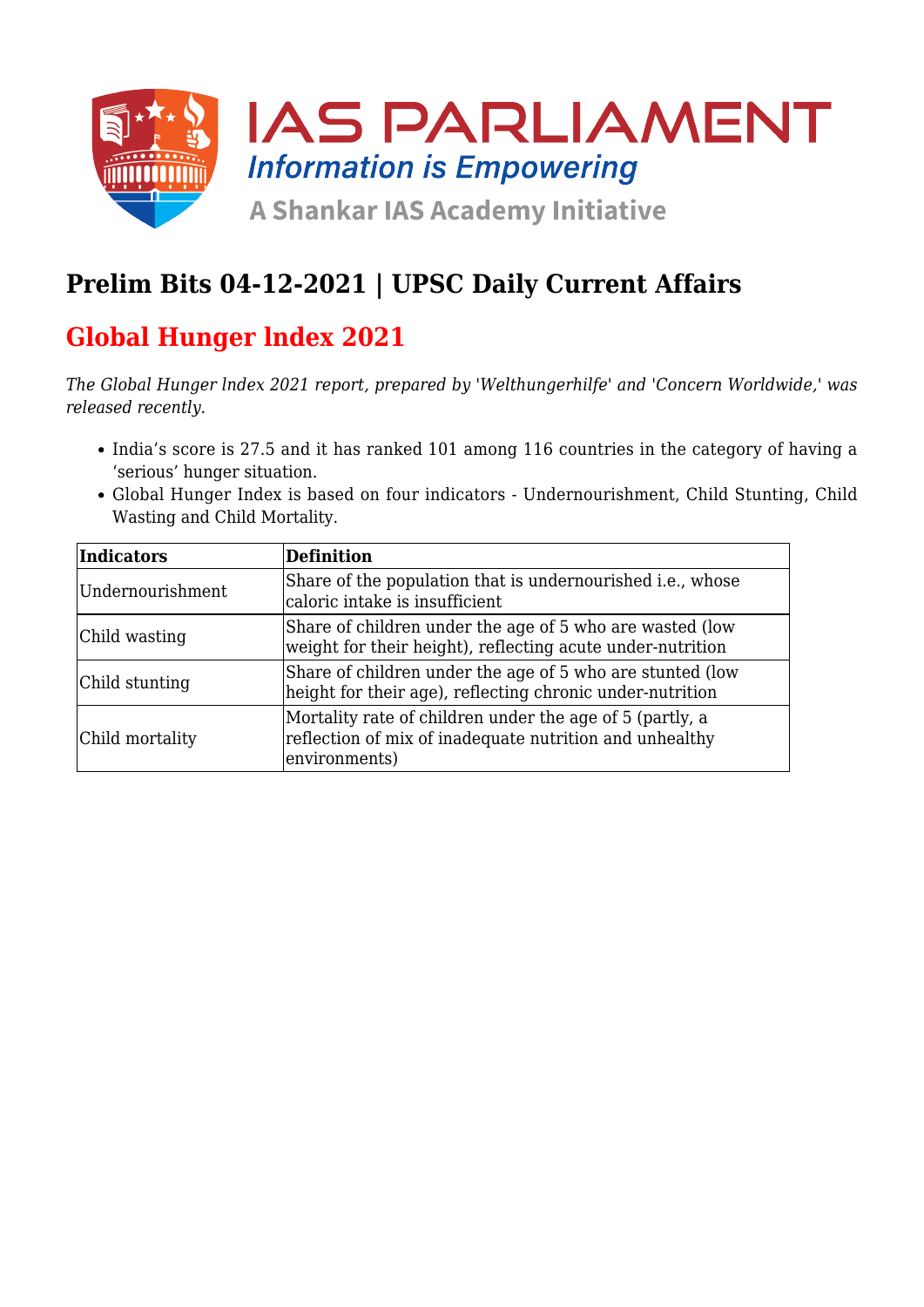

### **Prelim Bits 04-12-2021 | UPSC Daily Current Affairs**

### **Global Hunger lndex 2021**

*The Global Hunger lndex 2021 report, prepared by 'Welthungerhilfe' and 'Concern Worldwide,' was released recently.* 

- India's score is 27.5 and it has ranked 101 among 116 countries in the category of having a 'serious' hunger situation.
- Global Hunger Index is based on four indicators Undernourishment, Child Stunting, Child Wasting and Child Mortality.

| Indicators       | Definition                                                                                                                           |
|------------------|--------------------------------------------------------------------------------------------------------------------------------------|
| Undernourishment | Share of the population that is undernourished <i>i.e.</i> , whose<br>caloric intake is insufficient                                 |
| Child wasting    | Share of children under the age of 5 who are wasted (low<br>weight for their height), reflecting acute under-nutrition               |
| Child stunting   | Share of children under the age of 5 who are stunted (low<br>height for their age), reflecting chronic under-nutrition               |
| Child mortality  | Mortality rate of children under the age of 5 (partly, a<br>reflection of mix of inadequate nutrition and unhealthy<br>environments) |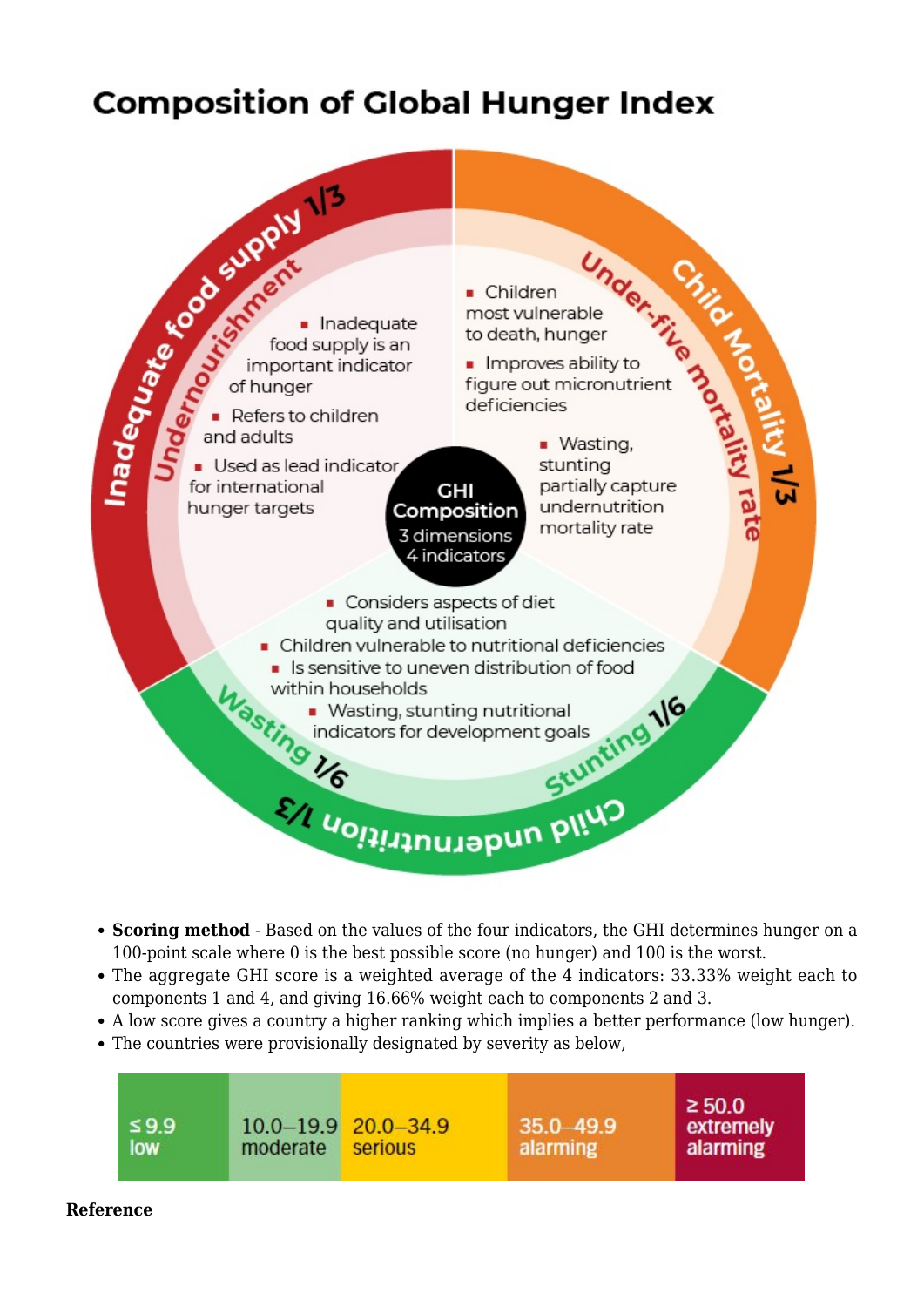# **Composition of Global Hunger Index**



- **Scoring method** Based on the values of the four indicators, the GHI determines hunger on a 100-point scale where 0 is the best possible score (no hunger) and 100 is the worst.
- The aggregate GHI score is a weighted average of the 4 indicators: 33.33% weight each to components 1 and 4, and giving 16.66% weight each to components 2 and 3.
- A low score gives a country a higher ranking which implies a better performance (low hunger).
- The countries were provisionally designated by severity as below,

| $\leq 9.9$<br>low | moderate | $10.0 - 19.9$ $20.0 - 34.9$<br>serious | $35.0 - 49.9$<br>alarming | $\geq 50.0$<br>extremely<br>alarming |
|-------------------|----------|----------------------------------------|---------------------------|--------------------------------------|
|                   |          |                                        |                           |                                      |

#### **Reference**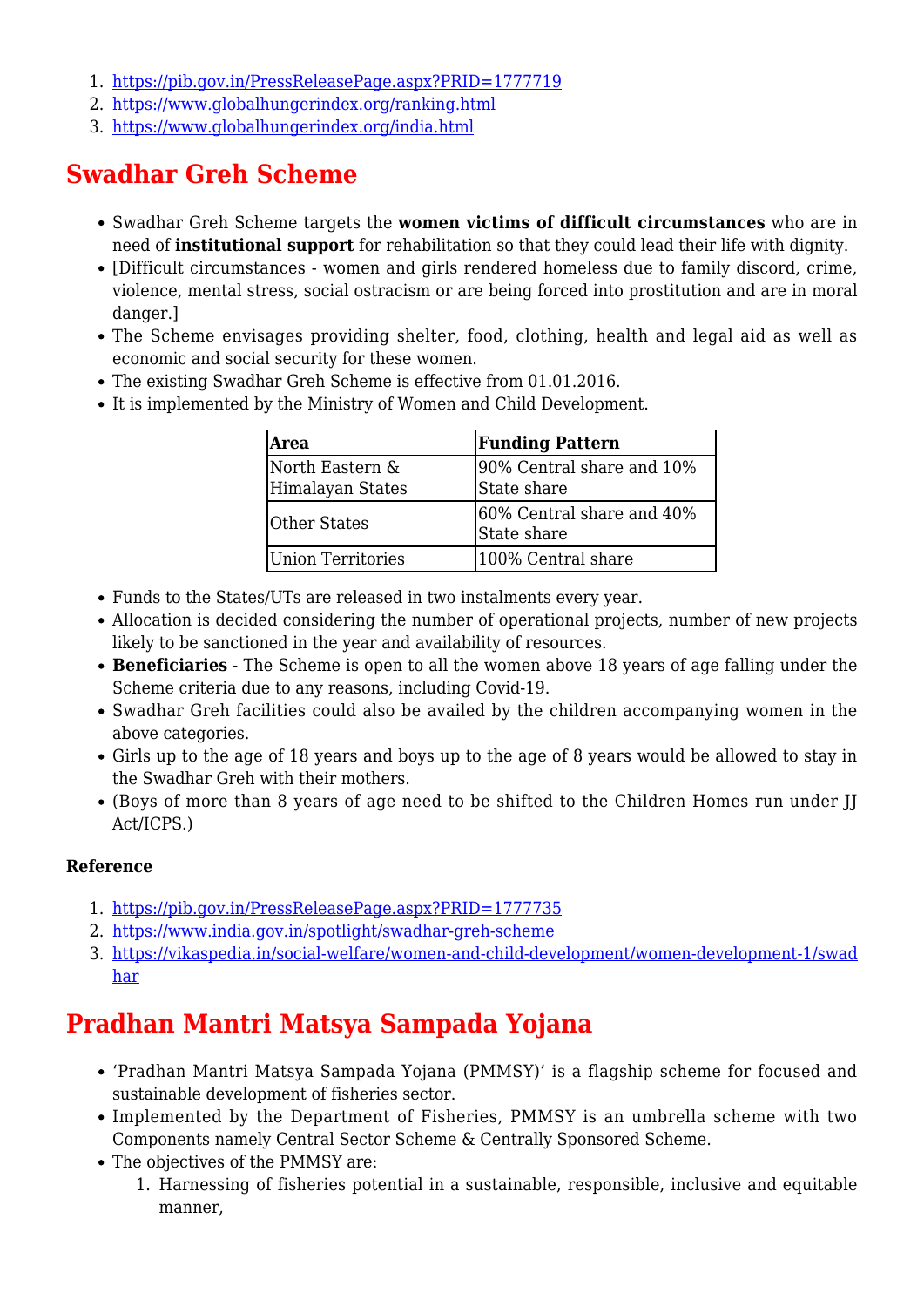- 1. <https://pib.gov.in/PressReleasePage.aspx?PRID=1777719>
- 2. <https://www.globalhungerindex.org/ranking.html>
- 3. <https://www.globalhungerindex.org/india.html>

### **Swadhar Greh Scheme**

- Swadhar Greh Scheme targets the **women victims of difficult circumstances** who are in need of **institutional support** for rehabilitation so that they could lead their life with dignity.
- [Difficult circumstances women and girls rendered homeless due to family discord, crime, violence, mental stress, social ostracism or are being forced into prostitution and are in moral danger.]
- The Scheme envisages providing shelter, food, clothing, health and legal aid as well as economic and social security for these women.
- The existing Swadhar Greh Scheme is effective from 01.01.2016.
- It is implemented by the Ministry of Women and Child Development.

| Area                                | <b>Funding Pattern</b>                   |  |
|-------------------------------------|------------------------------------------|--|
| North Eastern &<br>Himalayan States | 90% Central share and 10%<br>State share |  |
| <b>Other States</b>                 | 60% Central share and 40%<br>State share |  |
| Union Territories                   | 100% Central share                       |  |

- Funds to the States/UTs are released in two instalments every year.
- Allocation is decided considering the number of operational projects, number of new projects likely to be sanctioned in the year and availability of resources.
- **Beneficiaries** The Scheme is open to all the women above 18 years of age falling under the Scheme criteria due to any reasons, including Covid-19.
- Swadhar Greh facilities could also be availed by the children accompanying women in the above categories.
- Girls up to the age of 18 years and boys up to the age of 8 years would be allowed to stay in the Swadhar Greh with their mothers.
- (Boys of more than 8 years of age need to be shifted to the Children Homes run under JJ Act/ICPS.)

### **Reference**

- 1. <https://pib.gov.in/PressReleasePage.aspx?PRID=1777735>
- 2. <https://www.india.gov.in/spotlight/swadhar-greh-scheme>
- 3. [https://vikaspedia.in/social-welfare/women-and-child-development/women-development-1/swad](https://vikaspedia.in/social-welfare/women-and-child-development/women-development-1/swadhar) [har](https://vikaspedia.in/social-welfare/women-and-child-development/women-development-1/swadhar)

# **Pradhan Mantri Matsya Sampada Yojana**

- 'Pradhan Mantri Matsya Sampada Yojana (PMMSY)' is a flagship scheme for focused and sustainable development of fisheries sector.
- Implemented by the Department of Fisheries, PMMSY is an umbrella scheme with two Components namely Central Sector Scheme & Centrally Sponsored Scheme.
- The objectives of the PMMSY are:
	- 1. Harnessing of fisheries potential in a sustainable, responsible, inclusive and equitable manner,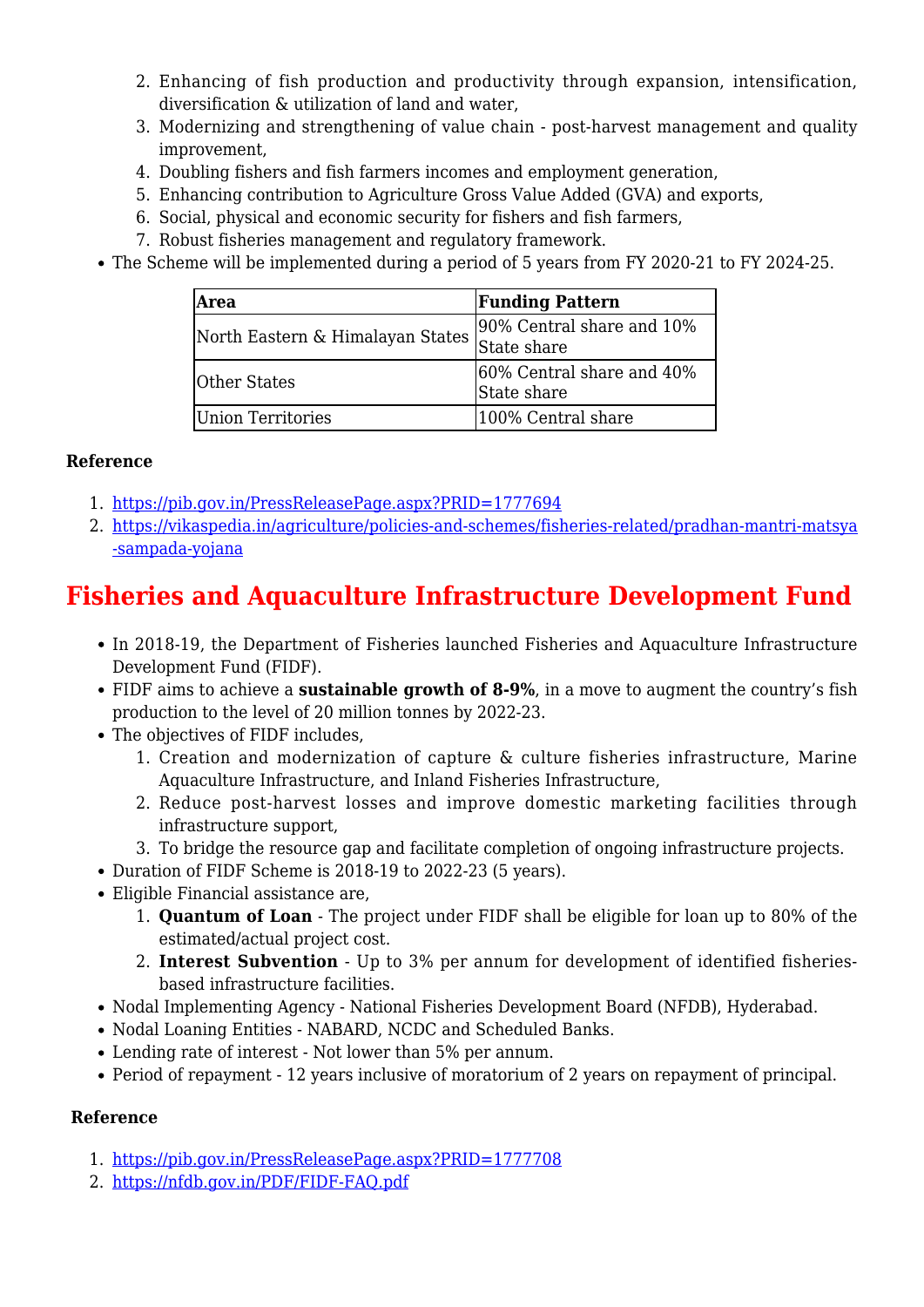- 2. Enhancing of fish production and productivity through expansion, intensification, diversification & utilization of land and water,
- 3. Modernizing and strengthening of value chain post-harvest management and quality improvement,
- 4. Doubling fishers and fish farmers incomes and employment generation,
- 5. Enhancing contribution to Agriculture Gross Value Added (GVA) and exports,
- 6. Social, physical and economic security for fishers and fish farmers,
- 7. Robust fisheries management and regulatory framework.
- The Scheme will be implemented during a period of 5 years from FY 2020-21 to FY 2024-25.

| Area                             | <b>Funding Pattern</b>                   |  |
|----------------------------------|------------------------------------------|--|
| North Eastern & Himalayan States | 90% Central share and 10%<br>State share |  |
| <b>Other States</b>              | 60% Central share and 40%<br>State share |  |
| Union Territories                | 100% Central share                       |  |

### **Reference**

- 1. <https://pib.gov.in/PressReleasePage.aspx?PRID=1777694>
- 2. [https://vikaspedia.in/agriculture/policies-and-schemes/fisheries-related/pradhan-mantri-matsya](https://vikaspedia.in/agriculture/policies-and-schemes/fisheries-related/pradhan-mantri-matsya-sampada-yojana) [-sampada-yojana](https://vikaspedia.in/agriculture/policies-and-schemes/fisheries-related/pradhan-mantri-matsya-sampada-yojana)

# **Fisheries and Aquaculture Infrastructure Development Fund**

- In 2018-19, the Department of Fisheries launched Fisheries and Aquaculture Infrastructure Development Fund (FIDF).
- FIDF aims to achieve a **sustainable growth of 8-9%**, in a move to augment the country's fish production to the level of 20 million tonnes by 2022-23.
- The objectives of FIDF includes,
	- 1. Creation and modernization of capture & culture fisheries infrastructure, Marine Aquaculture Infrastructure, and Inland Fisheries Infrastructure,
	- 2. Reduce post-harvest losses and improve domestic marketing facilities through infrastructure support,
	- 3. To bridge the resource gap and facilitate completion of ongoing infrastructure projects.
- Duration of FIDF Scheme is 2018-19 to 2022-23 (5 years).
- Eligible Financial assistance are,
	- 1. **Quantum of Loan** The project under FIDF shall be eligible for loan up to 80% of the estimated/actual project cost.
	- 2. **Interest Subvention** Up to 3% per annum for development of identified fisheriesbased infrastructure facilities.
- Nodal Implementing Agency National Fisheries Development Board (NFDB), Hyderabad.
- Nodal Loaning Entities NABARD, NCDC and Scheduled Banks.
- Lending rate of interest Not lower than 5% per annum.
- Period of repayment 12 years inclusive of moratorium of 2 years on repayment of principal.

### **Reference**

- 1. <https://pib.gov.in/PressReleasePage.aspx?PRID=1777708>
- 2. <https://nfdb.gov.in/PDF/FIDF-FAQ.pdf>